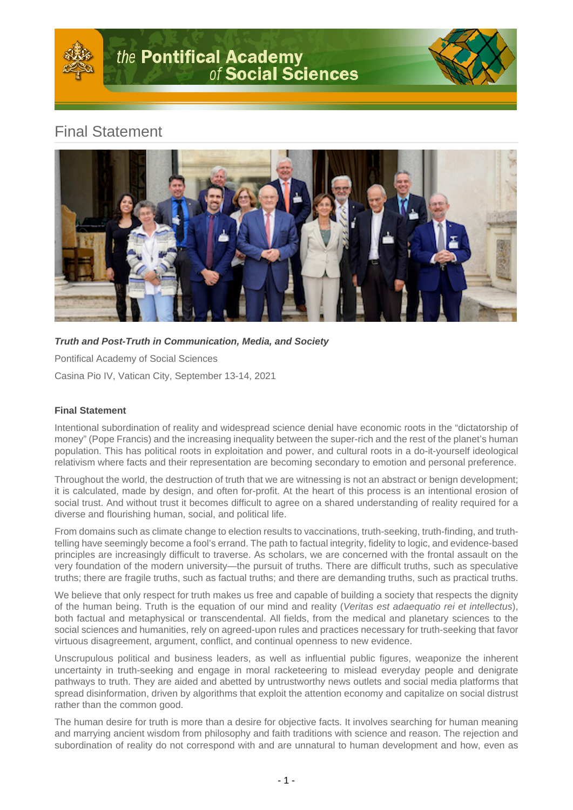

# Final Statement



**Truth and Post-Truth in Communication, Media, and Society**

Pontifical Academy of Social Sciences

Casina Pio IV, Vatican City, September 13-14, 2021

## **Final Statement**

Intentional subordination of reality and widespread science denial have economic roots in the "dictatorship of money" (Pope Francis) and the increasing inequality between the super-rich and the rest of the planet's human population. This has political roots in exploitation and power, and cultural roots in a do-it-yourself ideological relativism where facts and their representation are becoming secondary to emotion and personal preference.

Throughout the world, the destruction of truth that we are witnessing is not an abstract or benign development; it is calculated, made by design, and often for-profit. At the heart of this process is an intentional erosion of social trust. And without trust it becomes difficult to agree on a shared understanding of reality required for a diverse and flourishing human, social, and political life.

From domains such as climate change to election results to vaccinations, truth-seeking, truth-finding, and truthtelling have seemingly become a fool's errand. The path to factual integrity, fidelity to logic, and evidence-based principles are increasingly difficult to traverse. As scholars, we are concerned with the frontal assault on the very foundation of the modern university—the pursuit of truths. There are difficult truths, such as speculative truths; there are fragile truths, such as factual truths; and there are demanding truths, such as practical truths.

We believe that only respect for truth makes us free and capable of building a society that respects the dignity of the human being. Truth is the equation of our mind and reality (Veritas est adaequatio rei et intellectus), both factual and metaphysical or transcendental. All fields, from the medical and planetary sciences to the social sciences and humanities, rely on agreed-upon rules and practices necessary for truth-seeking that favor virtuous disagreement, argument, conflict, and continual openness to new evidence.

Unscrupulous political and business leaders, as well as influential public figures, weaponize the inherent uncertainty in truth-seeking and engage in moral racketeering to mislead everyday people and denigrate pathways to truth. They are aided and abetted by untrustworthy news outlets and social media platforms that spread disinformation, driven by algorithms that exploit the attention economy and capitalize on social distrust rather than the common good.

The human desire for truth is more than a desire for objective facts. It involves searching for human meaning and marrying ancient wisdom from philosophy and faith traditions with science and reason. The rejection and subordination of reality do not correspond with and are unnatural to human development and how, even as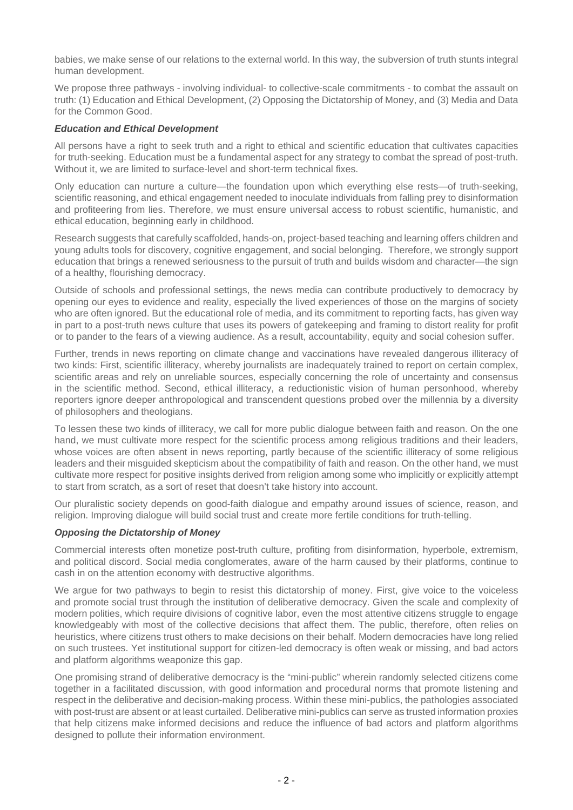babies, we make sense of our relations to the external world. In this way, the subversion of truth stunts integral human development.

We propose three pathways - involving individual- to collective-scale commitments - to combat the assault on truth: (1) Education and Ethical Development, (2) Opposing the Dictatorship of Money, and (3) Media and Data for the Common Good.

### **Education and Ethical Development**

All persons have a right to seek truth and a right to ethical and scientific education that cultivates capacities for truth-seeking. Education must be a fundamental aspect for any strategy to combat the spread of post-truth. Without it, we are limited to surface-level and short-term technical fixes.

Only education can nurture a culture—the foundation upon which everything else rests—of truth-seeking, scientific reasoning, and ethical engagement needed to inoculate individuals from falling prey to disinformation and profiteering from lies. Therefore, we must ensure universal access to robust scientific, humanistic, and ethical education, beginning early in childhood.

Research suggests that carefully scaffolded, hands-on, project-based teaching and learning offers children and young adults tools for discovery, cognitive engagement, and social belonging. Therefore, we strongly support education that brings a renewed seriousness to the pursuit of truth and builds wisdom and character—the sign of a healthy, flourishing democracy.

Outside of schools and professional settings, the news media can contribute productively to democracy by opening our eyes to evidence and reality, especially the lived experiences of those on the margins of society who are often ignored. But the educational role of media, and its commitment to reporting facts, has given way in part to a post-truth news culture that uses its powers of gatekeeping and framing to distort reality for profit or to pander to the fears of a viewing audience. As a result, accountability, equity and social cohesion suffer.

Further, trends in news reporting on climate change and vaccinations have revealed dangerous illiteracy of two kinds: First, scientific illiteracy, whereby journalists are inadequately trained to report on certain complex, scientific areas and rely on unreliable sources, especially concerning the role of uncertainty and consensus in the scientific method. Second, ethical illiteracy, a reductionistic vision of human personhood, whereby reporters ignore deeper anthropological and transcendent questions probed over the millennia by a diversity of philosophers and theologians.

To lessen these two kinds of illiteracy, we call for more public dialogue between faith and reason. On the one hand, we must cultivate more respect for the scientific process among religious traditions and their leaders, whose voices are often absent in news reporting, partly because of the scientific illiteracy of some religious leaders and their misguided skepticism about the compatibility of faith and reason. On the other hand, we must cultivate more respect for positive insights derived from religion among some who implicitly or explicitly attempt to start from scratch, as a sort of reset that doesn't take history into account.

Our pluralistic society depends on good-faith dialogue and empathy around issues of science, reason, and religion. Improving dialogue will build social trust and create more fertile conditions for truth-telling.

#### **Opposing the Dictatorship of Money**

Commercial interests often monetize post-truth culture, profiting from disinformation, hyperbole, extremism, and political discord. Social media conglomerates, aware of the harm caused by their platforms, continue to cash in on the attention economy with destructive algorithms.

We argue for two pathways to begin to resist this dictatorship of money. First, give voice to the voiceless and promote social trust through the institution of deliberative democracy. Given the scale and complexity of modern polities, which require divisions of cognitive labor, even the most attentive citizens struggle to engage knowledgeably with most of the collective decisions that affect them. The public, therefore, often relies on heuristics, where citizens trust others to make decisions on their behalf. Modern democracies have long relied on such trustees. Yet institutional support for citizen-led democracy is often weak or missing, and bad actors and platform algorithms weaponize this gap.

One promising strand of deliberative democracy is the "mini-public" wherein randomly selected citizens come together in a facilitated discussion, with good information and procedural norms that promote listening and respect in the deliberative and decision-making process. Within these mini-publics, the pathologies associated with post-trust are absent or at least curtailed. Deliberative mini-publics can serve as trusted information proxies that help citizens make informed decisions and reduce the influence of bad actors and platform algorithms designed to pollute their information environment.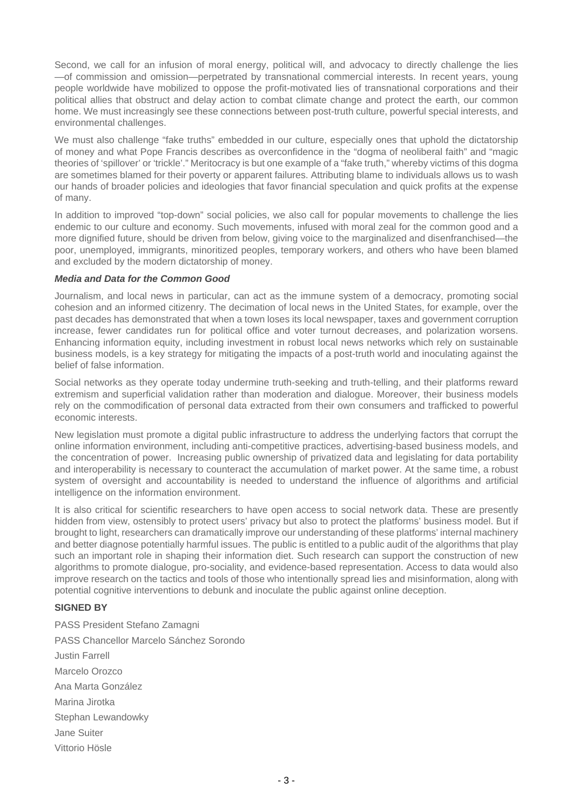Second, we call for an infusion of moral energy, political will, and advocacy to directly challenge the lies —of commission and omission—perpetrated by transnational commercial interests. In recent years, young people worldwide have mobilized to oppose the profit-motivated lies of transnational corporations and their political allies that obstruct and delay action to combat climate change and protect the earth, our common home. We must increasingly see these connections between post-truth culture, powerful special interests, and environmental challenges.

We must also challenge "fake truths" embedded in our culture, especially ones that uphold the dictatorship of money and what Pope Francis describes as overconfidence in the "dogma of neoliberal faith" and "magic theories of 'spillover' or 'trickle'." Meritocracy is but one example of a "fake truth," whereby victims of this dogma are sometimes blamed for their poverty or apparent failures. Attributing blame to individuals allows us to wash our hands of broader policies and ideologies that favor financial speculation and quick profits at the expense of many.

In addition to improved "top-down" social policies, we also call for popular movements to challenge the lies endemic to our culture and economy. Such movements, infused with moral zeal for the common good and a more dignified future, should be driven from below, giving voice to the marginalized and disenfranchised—the poor, unemployed, immigrants, minoritized peoples, temporary workers, and others who have been blamed and excluded by the modern dictatorship of money.

#### **Media and Data for the Common Good**

Journalism, and local news in particular, can act as the immune system of a democracy, promoting social cohesion and an informed citizenry. The decimation of local news in the United States, for example, over the past decades has demonstrated that when a town loses its local newspaper, taxes and government corruption increase, fewer candidates run for political office and voter turnout decreases, and polarization worsens. Enhancing information equity, including investment in robust local news networks which rely on sustainable business models, is a key strategy for mitigating the impacts of a post-truth world and inoculating against the belief of false information.

Social networks as they operate today undermine truth-seeking and truth-telling, and their platforms reward extremism and superficial validation rather than moderation and dialogue. Moreover, their business models rely on the commodification of personal data extracted from their own consumers and trafficked to powerful economic interests.

New legislation must promote a digital public infrastructure to address the underlying factors that corrupt the online information environment, including anti-competitive practices, advertising-based business models, and the concentration of power. Increasing public ownership of privatized data and legislating for data portability and interoperability is necessary to counteract the accumulation of market power. At the same time, a robust system of oversight and accountability is needed to understand the influence of algorithms and artificial intelligence on the information environment.

It is also critical for scientific researchers to have open access to social network data. These are presently hidden from view, ostensibly to protect users' privacy but also to protect the platforms' business model. But if brought to light, researchers can dramatically improve our understanding of these platforms' internal machinery and better diagnose potentially harmful issues. The public is entitled to a public audit of the algorithms that play such an important role in shaping their information diet. Such research can support the construction of new algorithms to promote dialogue, pro-sociality, and evidence-based representation. Access to data would also improve research on the tactics and tools of those who intentionally spread lies and misinformation, along with potential cognitive interventions to debunk and inoculate the public against online deception.

## **SIGNED BY**

PASS President Stefano Zamagni PASS Chancellor Marcelo Sánchez Sorondo Justin Farrell Marcelo Orozco Ana Marta González Marina Jirotka Stephan Lewandowky Jane Suiter Vittorio Hösle